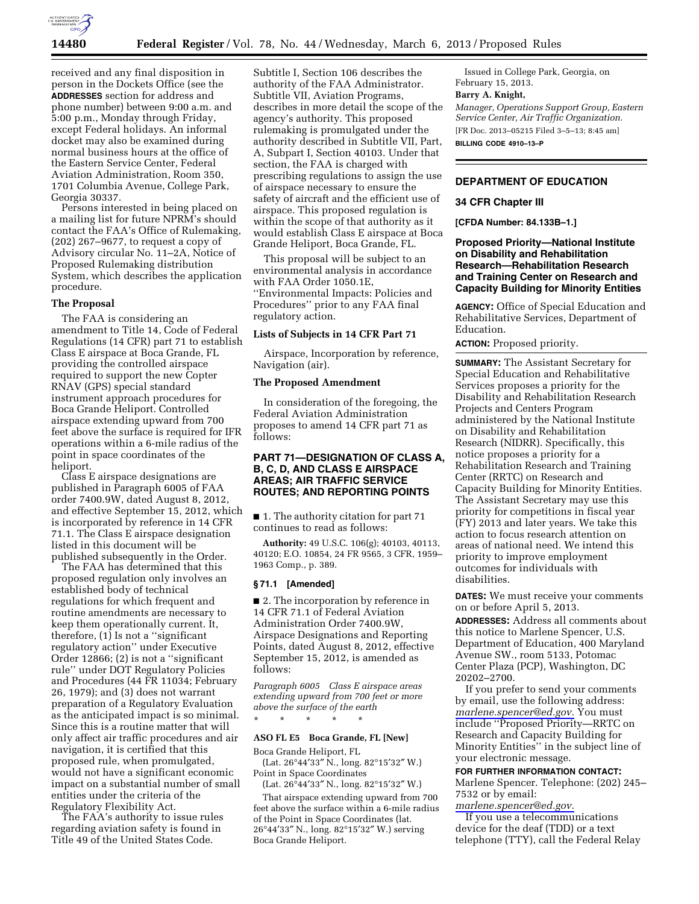

received and any final disposition in person in the Dockets Office (see the **ADDRESSES** section for address and phone number) between 9:00 a.m. and 5:00 p.m., Monday through Friday, except Federal holidays. An informal docket may also be examined during normal business hours at the office of the Eastern Service Center, Federal Aviation Administration, Room 350, 1701 Columbia Avenue, College Park, Georgia 30337.

Persons interested in being placed on a mailing list for future NPRM's should contact the FAA's Office of Rulemaking, (202) 267–9677, to request a copy of Advisory circular No. 11–2A, Notice of Proposed Rulemaking distribution System, which describes the application procedure.

### **The Proposal**

The FAA is considering an amendment to Title 14, Code of Federal Regulations (14 CFR) part 71 to establish Class E airspace at Boca Grande, FL providing the controlled airspace required to support the new Copter RNAV (GPS) special standard instrument approach procedures for Boca Grande Heliport. Controlled airspace extending upward from 700 feet above the surface is required for IFR operations within a 6-mile radius of the point in space coordinates of the heliport.

Class E airspace designations are published in Paragraph 6005 of FAA order 7400.9W, dated August 8, 2012, and effective September 15, 2012, which is incorporated by reference in 14 CFR 71.1. The Class E airspace designation listed in this document will be published subsequently in the Order.

The FAA has determined that this proposed regulation only involves an established body of technical regulations for which frequent and routine amendments are necessary to keep them operationally current. It, therefore, (1) Is not a ''significant regulatory action'' under Executive Order 12866; (2) is not a ''significant rule'' under DOT Regulatory Policies and Procedures (44 FR 11034; February 26, 1979); and (3) does not warrant preparation of a Regulatory Evaluation as the anticipated impact is so minimal. Since this is a routine matter that will only affect air traffic procedures and air navigation, it is certified that this proposed rule, when promulgated, would not have a significant economic impact on a substantial number of small entities under the criteria of the Regulatory Flexibility Act.

The FAA's authority to issue rules regarding aviation safety is found in Title 49 of the United States Code.

Subtitle I, Section 106 describes the authority of the FAA Administrator. Subtitle VII, Aviation Programs, describes in more detail the scope of the agency's authority. This proposed rulemaking is promulgated under the authority described in Subtitle VII, Part, A, Subpart I, Section 40103. Under that section, the FAA is charged with prescribing regulations to assign the use of airspace necessary to ensure the safety of aircraft and the efficient use of airspace. This proposed regulation is within the scope of that authority as it would establish Class E airspace at Boca Grande Heliport, Boca Grande, FL.

This proposal will be subject to an environmental analysis in accordance with FAA Order 1050.1E, ''Environmental Impacts: Policies and Procedures'' prior to any FAA final regulatory action.

## **Lists of Subjects in 14 CFR Part 71**

Airspace, Incorporation by reference, Navigation (air).

# **The Proposed Amendment**

In consideration of the foregoing, the Federal Aviation Administration proposes to amend 14 CFR part 71 as follows:

# **PART 71—DESIGNATION OF CLASS A, B, C, D, AND CLASS E AIRSPACE AREAS; AIR TRAFFIC SERVICE ROUTES; AND REPORTING POINTS**

■ 1. The authority citation for part 71 continues to read as follows:

**Authority:** 49 U.S.C. 106(g); 40103, 40113, 40120; E.O. 10854, 24 FR 9565, 3 CFR, 1959– 1963 Comp., p. 389.

### **§ 71.1 [Amended]**

■ 2. The incorporation by reference in 14 CFR 71.1 of Federal Aviation Administration Order 7400.9W, Airspace Designations and Reporting Points, dated August 8, 2012, effective September 15, 2012, is amended as follows:

*Paragraph 6005 Class E airspace areas extending upward from 700 feet or more above the surface of the earth* 

#### **ASO FL E5 Boca Grande, FL [New]**

\* \* \* \* \*

Boca Grande Heliport, FL (Lat. 26°44′33″ N., long. 82°15′32″ W.)

Point in Space Coordinates (Lat. 26°44′33″ N., long. 82°15′32″ W.)

That airspace extending upward from 700 feet above the surface within a 6-mile radius of the Point in Space Coordinates (lat. 26°44′33″ N., long. 82°15′32″ W.) serving Boca Grande Heliport.

Issued in College Park, Georgia, on February 15, 2013.

#### **Barry A. Knight,**

*Manager, Operations Support Group, Eastern Service Center, Air Traffic Organization.*  [FR Doc. 2013–05215 Filed 3–5–13; 8:45 am]

**BILLING CODE 4910–13–P** 

# **DEPARTMENT OF EDUCATION**

#### **34 CFR Chapter III**

**[CFDA Number: 84.133B–1.]** 

**Proposed Priority—National Institute on Disability and Rehabilitation Research—Rehabilitation Research and Training Center on Research and Capacity Building for Minority Entities** 

**AGENCY:** Office of Special Education and Rehabilitative Services, Department of Education.

**ACTION:** Proposed priority.

**SUMMARY:** The Assistant Secretary for Special Education and Rehabilitative Services proposes a priority for the Disability and Rehabilitation Research Projects and Centers Program administered by the National Institute on Disability and Rehabilitation Research (NIDRR). Specifically, this notice proposes a priority for a Rehabilitation Research and Training Center (RRTC) on Research and Capacity Building for Minority Entities. The Assistant Secretary may use this priority for competitions in fiscal year (FY) 2013 and later years. We take this action to focus research attention on areas of national need. We intend this priority to improve employment outcomes for individuals with disabilities.

**DATES:** We must receive your comments on or before April 5, 2013.

**ADDRESSES:** Address all comments about this notice to Marlene Spencer, U.S. Department of Education, 400 Maryland Avenue SW., room 5133, Potomac Center Plaza (PCP), Washington, DC 20202–2700.

If you prefer to send your comments by email, use the following address: *[marlene.spencer@ed.gov.](mailto:marlene.spencer@ed.gov)* You must include ''Proposed Priority—RRTC on Research and Capacity Building for Minority Entities'' in the subject line of your electronic message.

## **FOR FURTHER INFORMATION CONTACT:**

Marlene Spencer. Telephone: (202) 245– 7532 or by email:

*[marlene.spencer@ed.gov.](mailto:marlene.spencer@ed.gov)* 

If you use a telecommunications device for the deaf (TDD) or a text telephone (TTY), call the Federal Relay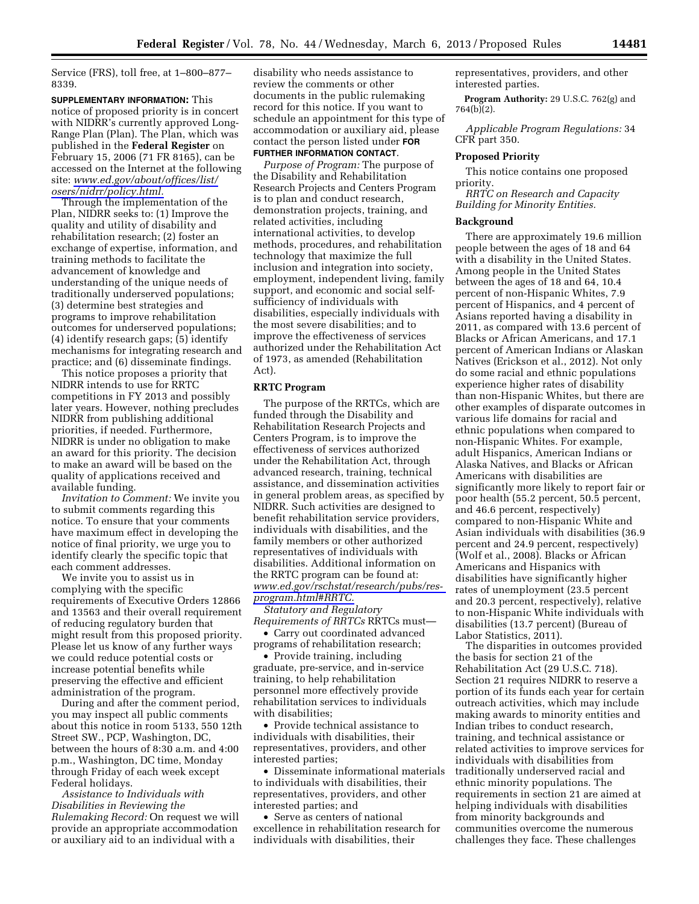Service (FRS), toll free, at 1–800–877– 8339.

**SUPPLEMENTARY INFORMATION:** This notice of proposed priority is in concert with NIDRR's currently approved Long-Range Plan (Plan). The Plan, which was published in the **Federal Register** on February 15, 2006 (71 FR 8165), can be accessed on the Internet at the following site: *[www.ed.gov/about/offices/list/](http://www.ed.gov/about/offices/list/osers/nidrr/policy.html) [osers/nidrr/policy.html.](http://www.ed.gov/about/offices/list/osers/nidrr/policy.html)* 

Through the implementation of the Plan, NIDRR seeks to: (1) Improve the quality and utility of disability and rehabilitation research; (2) foster an exchange of expertise, information, and training methods to facilitate the advancement of knowledge and understanding of the unique needs of traditionally underserved populations; (3) determine best strategies and programs to improve rehabilitation outcomes for underserved populations; (4) identify research gaps; (5) identify mechanisms for integrating research and practice; and (6) disseminate findings.

This notice proposes a priority that NIDRR intends to use for RRTC competitions in FY 2013 and possibly later years. However, nothing precludes NIDRR from publishing additional priorities, if needed. Furthermore, NIDRR is under no obligation to make an award for this priority. The decision to make an award will be based on the quality of applications received and available funding.

*Invitation to Comment:* We invite you to submit comments regarding this notice. To ensure that your comments have maximum effect in developing the notice of final priority, we urge you to identify clearly the specific topic that each comment addresses.

We invite you to assist us in complying with the specific requirements of Executive Orders 12866 and 13563 and their overall requirement of reducing regulatory burden that might result from this proposed priority. Please let us know of any further ways we could reduce potential costs or increase potential benefits while preserving the effective and efficient administration of the program.

During and after the comment period, you may inspect all public comments about this notice in room 5133, 550 12th Street SW., PCP, Washington, DC, between the hours of 8:30 a.m. and 4:00 p.m., Washington, DC time, Monday through Friday of each week except Federal holidays.

*Assistance to Individuals with Disabilities in Reviewing the Rulemaking Record:* On request we will provide an appropriate accommodation or auxiliary aid to an individual with a

disability who needs assistance to review the comments or other documents in the public rulemaking record for this notice. If you want to schedule an appointment for this type of accommodation or auxiliary aid, please contact the person listed under **FOR FURTHER INFORMATION CONTACT**.

*Purpose of Program:* The purpose of the Disability and Rehabilitation Research Projects and Centers Program is to plan and conduct research, demonstration projects, training, and related activities, including international activities, to develop methods, procedures, and rehabilitation technology that maximize the full inclusion and integration into society, employment, independent living, family support, and economic and social selfsufficiency of individuals with disabilities, especially individuals with the most severe disabilities; and to improve the effectiveness of services authorized under the Rehabilitation Act of 1973, as amended (Rehabilitation Act).

# **RRTC Program**

The purpose of the RRTCs, which are funded through the Disability and Rehabilitation Research Projects and Centers Program, is to improve the effectiveness of services authorized under the Rehabilitation Act, through advanced research, training, technical assistance, and dissemination activities in general problem areas, as specified by NIDRR. Such activities are designed to benefit rehabilitation service providers, individuals with disabilities, and the family members or other authorized representatives of individuals with disabilities. Additional information on the RRTC program can be found at: *[www.ed.gov/rschstat/research/pubs/res](http://www.ed.gov/rschstat/research/pubs/res-program.html#RRTC)[program.html#RRTC.](http://www.ed.gov/rschstat/research/pubs/res-program.html#RRTC)* 

*Statutory and Regulatory Requirements of RRTCs* RRTCs must—

• Carry out coordinated advanced programs of rehabilitation research;

• Provide training, including graduate, pre-service, and in-service training, to help rehabilitation personnel more effectively provide rehabilitation services to individuals with disabilities;

• Provide technical assistance to individuals with disabilities, their representatives, providers, and other interested parties;

• Disseminate informational materials to individuals with disabilities, their representatives, providers, and other interested parties; and

• Serve as centers of national excellence in rehabilitation research for individuals with disabilities, their

representatives, providers, and other interested parties.

**Program Authority:** 29 U.S.C. 762(g) and 764(b)(2).

*Applicable Program Regulations:* 34 CFR part 350.

## **Proposed Priority**

This notice contains one proposed priority.

*RRTC on Research and Capacity Building for Minority Entities.* 

## **Background**

There are approximately 19.6 million people between the ages of 18 and 64 with a disability in the United States. Among people in the United States between the ages of 18 and 64, 10.4 percent of non-Hispanic Whites, 7.9 percent of Hispanics, and 4 percent of Asians reported having a disability in 2011, as compared with 13.6 percent of Blacks or African Americans, and 17.1 percent of American Indians or Alaskan Natives (Erickson et al., 2012). Not only do some racial and ethnic populations experience higher rates of disability than non-Hispanic Whites, but there are other examples of disparate outcomes in various life domains for racial and ethnic populations when compared to non-Hispanic Whites. For example, adult Hispanics, American Indians or Alaska Natives, and Blacks or African Americans with disabilities are significantly more likely to report fair or poor health (55.2 percent, 50.5 percent, and 46.6 percent, respectively) compared to non-Hispanic White and Asian individuals with disabilities (36.9 percent and 24.9 percent, respectively) (Wolf et al., 2008). Blacks or African Americans and Hispanics with disabilities have significantly higher rates of unemployment (23.5 percent and 20.3 percent, respectively), relative to non-Hispanic White individuals with disabilities (13.7 percent) (Bureau of Labor Statistics, 2011).

The disparities in outcomes provided the basis for section 21 of the Rehabilitation Act (29 U.S.C. 718). Section 21 requires NIDRR to reserve a portion of its funds each year for certain outreach activities, which may include making awards to minority entities and Indian tribes to conduct research, training, and technical assistance or related activities to improve services for individuals with disabilities from traditionally underserved racial and ethnic minority populations. The requirements in section 21 are aimed at helping individuals with disabilities from minority backgrounds and communities overcome the numerous challenges they face. These challenges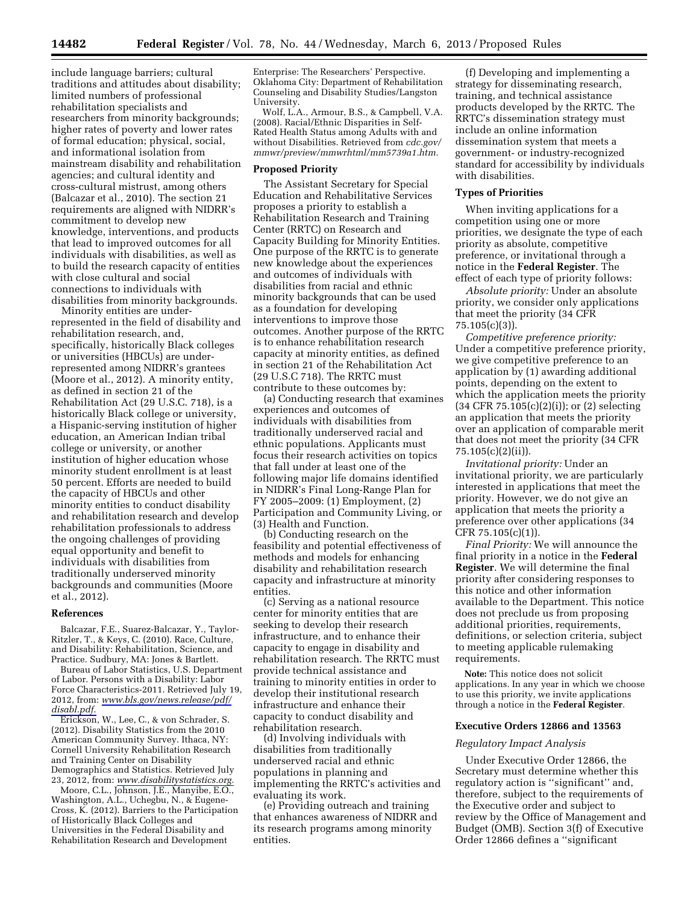include language barriers; cultural traditions and attitudes about disability; limited numbers of professional rehabilitation specialists and researchers from minority backgrounds; higher rates of poverty and lower rates of formal education; physical, social, and informational isolation from mainstream disability and rehabilitation agencies; and cultural identity and cross-cultural mistrust, among others (Balcazar et al., 2010). The section 21 requirements are aligned with NIDRR's commitment to develop new knowledge, interventions, and products that lead to improved outcomes for all individuals with disabilities, as well as to build the research capacity of entities with close cultural and social connections to individuals with disabilities from minority backgrounds.

Minority entities are underrepresented in the field of disability and rehabilitation research, and, specifically, historically Black colleges or universities (HBCUs) are underrepresented among NIDRR's grantees (Moore et al., 2012). A minority entity, as defined in section 21 of the Rehabilitation Act (29 U.S.C. 718), is a historically Black college or university, a Hispanic-serving institution of higher education, an American Indian tribal college or university, or another institution of higher education whose minority student enrollment is at least 50 percent. Efforts are needed to build the capacity of HBCUs and other minority entities to conduct disability and rehabilitation research and develop rehabilitation professionals to address the ongoing challenges of providing equal opportunity and benefit to individuals with disabilities from traditionally underserved minority backgrounds and communities (Moore et al., 2012).

#### **References**

Balcazar, F.E., Suarez-Balcazar, Y., Taylor-Ritzler, T., & Keys, C. (2010). Race, Culture, and Disability: Rehabilitation, Science, and Practice. Sudbury, MA: Jones & Bartlett.

Bureau of Labor Statistics, U.S. Department of Labor. Persons with a Disability: Labor Force Characteristics-2011. Retrieved July 19, 2012, from: *[www.bls.gov/news.release/pdf/](http://www.bls.gov/news.release/pdf/disabl.pdf)  [disabl.pdf.](http://www.bls.gov/news.release/pdf/disabl.pdf)* 

Erickson, W., Lee, C., & von Schrader, S. (2012). Disability Statistics from the 2010 American Community Survey. Ithaca, NY: Cornell University Rehabilitation Research and Training Center on Disability Demographics and Statistics. Retrieved July 23, 2012, from: *[www.disabilitystatistics.org.](http://www.disabilitystatistics.org)* 

Moore, C.L., Johnson, J.E., Manyibe, E.O., Washington, A.L., Uchegbu, N., & Eugene-Cross, K. (2012). Barriers to the Participation of Historically Black Colleges and Universities in the Federal Disability and Rehabilitation Research and Development

Enterprise: The Researchers' Perspective. Oklahoma City: Department of Rehabilitation Counseling and Disability Studies/Langston University.

Wolf, L.A., Armour, B.S., & Campbell, V.A. (2008). Racial/Ethnic Disparities in Self-Rated Health Status among Adults with and without Disabilities. Retrieved from *cdc.gov/ mmwr/preview/mmwrhtml/mm5739a1.htm.* 

#### **Proposed Priority**

The Assistant Secretary for Special Education and Rehabilitative Services proposes a priority to establish a Rehabilitation Research and Training Center (RRTC) on Research and Capacity Building for Minority Entities. One purpose of the RRTC is to generate new knowledge about the experiences and outcomes of individuals with disabilities from racial and ethnic minority backgrounds that can be used as a foundation for developing interventions to improve those outcomes. Another purpose of the RRTC is to enhance rehabilitation research capacity at minority entities, as defined in section 21 of the Rehabilitation Act (29 U.S.C 718). The RRTC must contribute to these outcomes by:

(a) Conducting research that examines experiences and outcomes of individuals with disabilities from traditionally underserved racial and ethnic populations. Applicants must focus their research activities on topics that fall under at least one of the following major life domains identified in NIDRR's Final Long-Range Plan for FY 2005–2009: (1) Employment, (2) Participation and Community Living, or (3) Health and Function.

(b) Conducting research on the feasibility and potential effectiveness of methods and models for enhancing disability and rehabilitation research capacity and infrastructure at minority entities.

(c) Serving as a national resource center for minority entities that are seeking to develop their research infrastructure, and to enhance their capacity to engage in disability and rehabilitation research. The RRTC must provide technical assistance and training to minority entities in order to develop their institutional research infrastructure and enhance their capacity to conduct disability and rehabilitation research.

(d) Involving individuals with disabilities from traditionally underserved racial and ethnic populations in planning and implementing the RRTC's activities and evaluating its work.

(e) Providing outreach and training that enhances awareness of NIDRR and its research programs among minority entities.

(f) Developing and implementing a strategy for disseminating research, training, and technical assistance products developed by the RRTC. The RRTC's dissemination strategy must include an online information dissemination system that meets a government- or industry-recognized standard for accessibility by individuals with disabilities.

### **Types of Priorities**

When inviting applications for a competition using one or more priorities, we designate the type of each priority as absolute, competitive preference, or invitational through a notice in the **Federal Register**. The effect of each type of priority follows:

*Absolute priority:* Under an absolute priority, we consider only applications that meet the priority (34 CFR 75.105(c)(3)).

*Competitive preference priority:*  Under a competitive preference priority, we give competitive preference to an application by (1) awarding additional points, depending on the extent to which the application meets the priority (34 CFR 75.105(c)(2)(i)); or (2) selecting an application that meets the priority over an application of comparable merit that does not meet the priority (34 CFR 75.105(c)(2)(ii)).

*Invitational priority:* Under an invitational priority, we are particularly interested in applications that meet the priority. However, we do not give an application that meets the priority a preference over other applications (34 CFR 75.105(c)(1)).

*Final Priority:* We will announce the final priority in a notice in the **Federal Register**. We will determine the final priority after considering responses to this notice and other information available to the Department. This notice does not preclude us from proposing additional priorities, requirements, definitions, or selection criteria, subject to meeting applicable rulemaking requirements.

**Note:** This notice does not solicit applications. In any year in which we choose to use this priority, we invite applications through a notice in the **Federal Register**.

#### **Executive Orders 12866 and 13563**

#### *Regulatory Impact Analysis*

Under Executive Order 12866, the Secretary must determine whether this regulatory action is ''significant'' and, therefore, subject to the requirements of the Executive order and subject to review by the Office of Management and Budget (OMB). Section 3(f) of Executive Order 12866 defines a ''significant